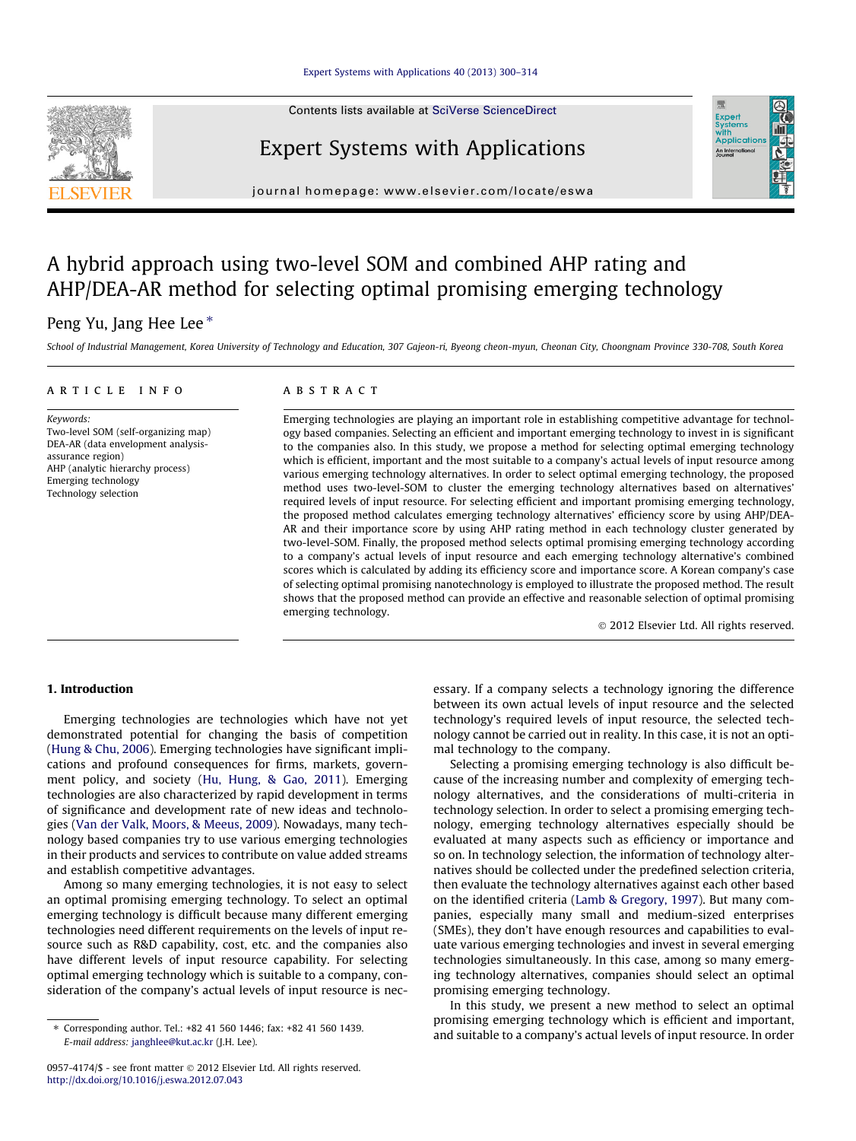Contents lists available at [SciVerse ScienceDirect](http://www.sciencedirect.com/science/journal/09574174)

## Expert Systems with Applications

journal homepage: [www.elsevier.com/locate/eswa](http://www.elsevier.com/locate/eswa)

## A hybrid approach using two-level SOM and combined AHP rating and AHP/DEA-AR method for selecting optimal promising emerging technology

### Peng Yu, Jang Hee Lee<sup>\*</sup>

School of Industrial Management, Korea University of Technology and Education, 307 Gajeon-ri, Byeong cheon-myun, Cheonan City, Choongnam Province 330-708, South Korea

#### article info

Keywords: Two-level SOM (self-organizing map) DEA-AR (data envelopment analysisassurance region) AHP (analytic hierarchy process) Emerging technology Technology selection

#### ABSTRACT

Emerging technologies are playing an important role in establishing competitive advantage for technology based companies. Selecting an efficient and important emerging technology to invest in is significant to the companies also. In this study, we propose a method for selecting optimal emerging technology which is efficient, important and the most suitable to a company's actual levels of input resource among various emerging technology alternatives. In order to select optimal emerging technology, the proposed method uses two-level-SOM to cluster the emerging technology alternatives based on alternatives' required levels of input resource. For selecting efficient and important promising emerging technology, the proposed method calculates emerging technology alternatives' efficiency score by using AHP/DEA-AR and their importance score by using AHP rating method in each technology cluster generated by two-level-SOM. Finally, the proposed method selects optimal promising emerging technology according to a company's actual levels of input resource and each emerging technology alternative's combined scores which is calculated by adding its efficiency score and importance score. A Korean company's case of selecting optimal promising nanotechnology is employed to illustrate the proposed method. The result shows that the proposed method can provide an effective and reasonable selection of optimal promising emerging technology.

- 2012 Elsevier Ltd. All rights reserved.

#### 1. Introduction

Emerging technologies are technologies which have not yet demonstrated potential for changing the basis of competition ([Hung & Chu, 2006](#page--1-0)). Emerging technologies have significant implications and profound consequences for firms, markets, government policy, and society [\(Hu, Hung, & Gao, 2011\)](#page--1-0). Emerging technologies are also characterized by rapid development in terms of significance and development rate of new ideas and technologies ([Van der Valk, Moors, & Meeus, 2009\)](#page--1-0). Nowadays, many technology based companies try to use various emerging technologies in their products and services to contribute on value added streams and establish competitive advantages.

Among so many emerging technologies, it is not easy to select an optimal promising emerging technology. To select an optimal emerging technology is difficult because many different emerging technologies need different requirements on the levels of input resource such as R&D capability, cost, etc. and the companies also have different levels of input resource capability. For selecting optimal emerging technology which is suitable to a company, consideration of the company's actual levels of input resource is necessary. If a company selects a technology ignoring the difference between its own actual levels of input resource and the selected technology's required levels of input resource, the selected technology cannot be carried out in reality. In this case, it is not an optimal technology to the company.

Selecting a promising emerging technology is also difficult because of the increasing number and complexity of emerging technology alternatives, and the considerations of multi-criteria in technology selection. In order to select a promising emerging technology, emerging technology alternatives especially should be evaluated at many aspects such as efficiency or importance and so on. In technology selection, the information of technology alternatives should be collected under the predefined selection criteria, then evaluate the technology alternatives against each other based on the identified criteria ([Lamb & Gregory, 1997](#page--1-0)). But many companies, especially many small and medium-sized enterprises (SMEs), they don't have enough resources and capabilities to evaluate various emerging technologies and invest in several emerging technologies simultaneously. In this case, among so many emerging technology alternatives, companies should select an optimal promising emerging technology.

In this study, we present a new method to select an optimal promising emerging technology which is efficient and important, and suitable to a company's actual levels of input resource. In order





<sup>⇑</sup> Corresponding author. Tel.: +82 41 560 1446; fax: +82 41 560 1439. E-mail address: [janghlee@kut.ac.kr](mailto:janghlee@kut.ac.kr) (J.H. Lee).

<sup>0957-4174/\$ -</sup> see front matter © 2012 Elsevier Ltd. All rights reserved. <http://dx.doi.org/10.1016/j.eswa.2012.07.043>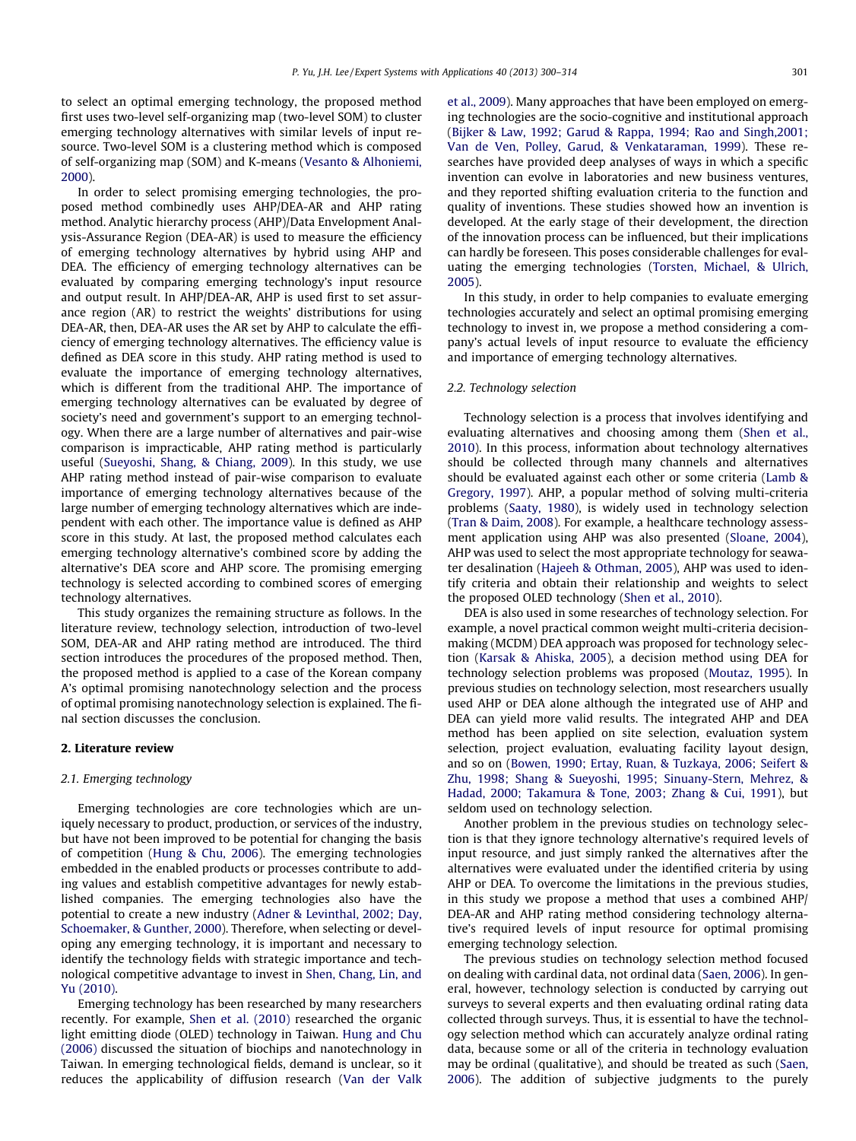to select an optimal emerging technology, the proposed method first uses two-level self-organizing map (two-level SOM) to cluster emerging technology alternatives with similar levels of input resource. Two-level SOM is a clustering method which is composed of self-organizing map (SOM) and K-means ([Vesanto & Alhoniemi,](#page--1-0) [2000](#page--1-0)).

In order to select promising emerging technologies, the proposed method combinedly uses AHP/DEA-AR and AHP rating method. Analytic hierarchy process (AHP)/Data Envelopment Analysis-Assurance Region (DEA-AR) is used to measure the efficiency of emerging technology alternatives by hybrid using AHP and DEA. The efficiency of emerging technology alternatives can be evaluated by comparing emerging technology's input resource and output result. In AHP/DEA-AR, AHP is used first to set assurance region (AR) to restrict the weights' distributions for using DEA-AR, then, DEA-AR uses the AR set by AHP to calculate the efficiency of emerging technology alternatives. The efficiency value is defined as DEA score in this study. AHP rating method is used to evaluate the importance of emerging technology alternatives, which is different from the traditional AHP. The importance of emerging technology alternatives can be evaluated by degree of society's need and government's support to an emerging technology. When there are a large number of alternatives and pair-wise comparison is impracticable, AHP rating method is particularly useful [\(Sueyoshi, Shang, & Chiang, 2009\)](#page--1-0). In this study, we use AHP rating method instead of pair-wise comparison to evaluate importance of emerging technology alternatives because of the large number of emerging technology alternatives which are independent with each other. The importance value is defined as AHP score in this study. At last, the proposed method calculates each emerging technology alternative's combined score by adding the alternative's DEA score and AHP score. The promising emerging technology is selected according to combined scores of emerging technology alternatives.

This study organizes the remaining structure as follows. In the literature review, technology selection, introduction of two-level SOM, DEA-AR and AHP rating method are introduced. The third section introduces the procedures of the proposed method. Then, the proposed method is applied to a case of the Korean company A's optimal promising nanotechnology selection and the process of optimal promising nanotechnology selection is explained. The final section discusses the conclusion.

#### 2. Literature review

#### 2.1. Emerging technology

Emerging technologies are core technologies which are uniquely necessary to product, production, or services of the industry, but have not been improved to be potential for changing the basis of competition [\(Hung & Chu, 2006\)](#page--1-0). The emerging technologies embedded in the enabled products or processes contribute to adding values and establish competitive advantages for newly established companies. The emerging technologies also have the potential to create a new industry [\(Adner & Levinthal, 2002; Day,](#page--1-0) [Schoemaker, & Gunther, 2000](#page--1-0)). Therefore, when selecting or developing any emerging technology, it is important and necessary to identify the technology fields with strategic importance and technological competitive advantage to invest in [Shen, Chang, Lin, and](#page--1-0) [Yu \(2010\)](#page--1-0).

Emerging technology has been researched by many researchers recently. For example, [Shen et al. \(2010\)](#page--1-0) researched the organic light emitting diode (OLED) technology in Taiwan. [Hung and Chu](#page--1-0) [\(2006\)](#page--1-0) discussed the situation of biochips and nanotechnology in Taiwan. In emerging technological fields, demand is unclear, so it reduces the applicability of diffusion research ([Van der Valk](#page--1-0) [et al., 2009](#page--1-0)). Many approaches that have been employed on emerging technologies are the socio-cognitive and institutional approach ([Bijker & Law, 1992; Garud & Rappa, 1994; Rao and Singh,2001;](#page--1-0) [Van de Ven, Polley, Garud, & Venkataraman, 1999\)](#page--1-0). These researches have provided deep analyses of ways in which a specific invention can evolve in laboratories and new business ventures, and they reported shifting evaluation criteria to the function and quality of inventions. These studies showed how an invention is developed. At the early stage of their development, the direction of the innovation process can be influenced, but their implications can hardly be foreseen. This poses considerable challenges for evaluating the emerging technologies ([Torsten, Michael, & Ulrich,](#page--1-0) [2005](#page--1-0)).

In this study, in order to help companies to evaluate emerging technologies accurately and select an optimal promising emerging technology to invest in, we propose a method considering a company's actual levels of input resource to evaluate the efficiency and importance of emerging technology alternatives.

#### 2.2. Technology selection

Technology selection is a process that involves identifying and evaluating alternatives and choosing among them ([Shen et al.,](#page--1-0) [2010](#page--1-0)). In this process, information about technology alternatives should be collected through many channels and alternatives should be evaluated against each other or some criteria [\(Lamb &](#page--1-0) [Gregory, 1997](#page--1-0)). AHP, a popular method of solving multi-criteria problems [\(Saaty, 1980\)](#page--1-0), is widely used in technology selection ([Tran & Daim, 2008](#page--1-0)). For example, a healthcare technology assessment application using AHP was also presented [\(Sloane, 2004\)](#page--1-0), AHP was used to select the most appropriate technology for seawater desalination ([Hajeeh & Othman, 2005](#page--1-0)), AHP was used to identify criteria and obtain their relationship and weights to select the proposed OLED technology [\(Shen et al., 2010\)](#page--1-0).

DEA is also used in some researches of technology selection. For example, a novel practical common weight multi-criteria decisionmaking (MCDM) DEA approach was proposed for technology selection ([Karsak & Ahiska, 2005](#page--1-0)), a decision method using DEA for technology selection problems was proposed [\(Moutaz, 1995\)](#page--1-0). In previous studies on technology selection, most researchers usually used AHP or DEA alone although the integrated use of AHP and DEA can yield more valid results. The integrated AHP and DEA method has been applied on site selection, evaluation system selection, project evaluation, evaluating facility layout design, and so on ([Bowen, 1990; Ertay, Ruan, & Tuzkaya, 2006; Seifert &](#page--1-0) [Zhu, 1998; Shang & Sueyoshi, 1995; Sinuany-Stern, Mehrez, &](#page--1-0) [Hadad, 2000; Takamura & Tone, 2003; Zhang & Cui, 1991](#page--1-0)), but seldom used on technology selection.

Another problem in the previous studies on technology selection is that they ignore technology alternative's required levels of input resource, and just simply ranked the alternatives after the alternatives were evaluated under the identified criteria by using AHP or DEA. To overcome the limitations in the previous studies, in this study we propose a method that uses a combined AHP/ DEA-AR and AHP rating method considering technology alternative's required levels of input resource for optimal promising emerging technology selection.

The previous studies on technology selection method focused on dealing with cardinal data, not ordinal data [\(Saen, 2006](#page--1-0)). In general, however, technology selection is conducted by carrying out surveys to several experts and then evaluating ordinal rating data collected through surveys. Thus, it is essential to have the technology selection method which can accurately analyze ordinal rating data, because some or all of the criteria in technology evaluation may be ordinal (qualitative), and should be treated as such [\(Saen,](#page--1-0) [2006](#page--1-0)). The addition of subjective judgments to the purely